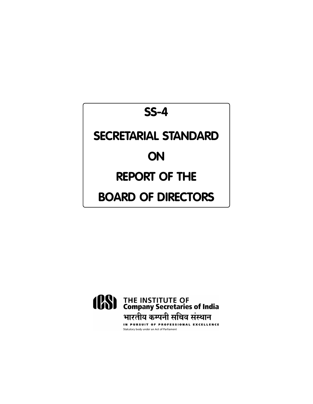# **SS-4**

## **SECRETARIAL STANDARD**

## **ON**

## **REPORT OF THE**

## **BOARD OF DIRECTORS**

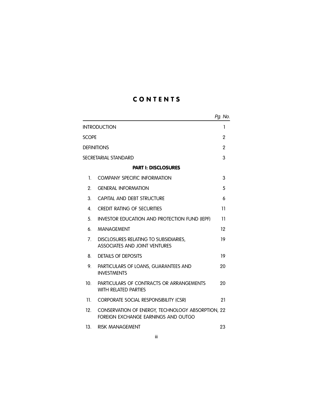## C O N T E N T S

|                      |                                                                                          | Pg. No.         |
|----------------------|------------------------------------------------------------------------------------------|-----------------|
|                      | <b>INTRODUCTION</b>                                                                      | 1               |
| <b>SCOPE</b>         |                                                                                          | $\overline{2}$  |
| <b>DEFINITIONS</b>   |                                                                                          |                 |
| SECRETARIAL STANDARD |                                                                                          |                 |
|                      | <b>PART I: DISCLOSURES</b>                                                               |                 |
| 1.                   | COMPANY SPECIFIC INFORMATION                                                             | 3               |
| 2.                   | <b>GENERAL INFORMATION</b>                                                               | 5               |
| 3.                   | CAPITAL AND DEBT STRUCTURE                                                               | 6               |
| 4.                   | <b>CREDIT RATING OF SECURITIES</b>                                                       | $\overline{11}$ |
| 5.                   | <b>INVESTOR EDUCATION AND PROTECTION FUND (IEPF)</b>                                     | 11              |
| 6.                   | <b>MANAGEMENT</b>                                                                        | 12              |
| 7.                   | DISCLOSURES RELATING TO SUBSIDIARIES,<br><b>ASSOCIATES AND JOINT VENTURES</b>            | 19              |
| 8.                   | <b>DETAILS OF DEPOSITS</b>                                                               | 19              |
| 9.                   | PARTICULARS OF LOANS, GUARANTEES AND<br><b>INVESTMENTS</b>                               | 20              |
| 10 <sub>1</sub>      | PARTICULARS OF CONTRACTS OR ARRANGEMENTS<br><b>WITH RELATED PARTIES</b>                  | 20              |
| 11 <sup>1</sup>      | CORPORATE SOCIAL RESPONSIBILITY (CSR)                                                    | 21              |
| 12.                  | CONSERVATION OF ENERGY, TECHNOLOGY ABSORPTION, 22<br>FOREIGN EXCHANGE EARNINGS AND OUTGO |                 |
| 13 <sub>1</sub>      | <b>RISK MANAGEMENT</b>                                                                   | 23              |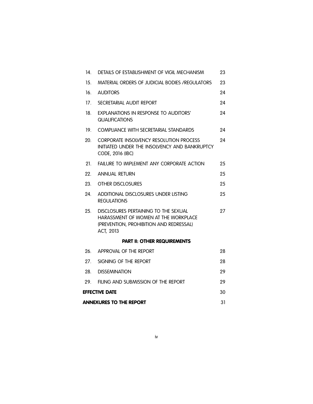| 14.                            | DETAILS OF ESTABLISHMENT OF VIGIL MECHANISM                                                                                          | 23 |
|--------------------------------|--------------------------------------------------------------------------------------------------------------------------------------|----|
| 15.                            | MATERIAL ORDERS OF JUDICIAL BODIES / REGULATORS                                                                                      | 23 |
| 16.                            | <b>AUDITORS</b>                                                                                                                      | 24 |
| 17 <sub>1</sub>                | SECRETARIAL AUDIT REPORT                                                                                                             | 24 |
| 18.                            | <b>EXPLANATIONS IN RESPONSE TO AUDITORS'</b><br><b>QUALIFICATIONS</b>                                                                | 24 |
| 19.                            | COMPLIANCE WITH SECRETARIAL STANDARDS                                                                                                | 24 |
| 20.                            | CORPORATE INSOLVENCY RESOLUTION PROCESS<br>INITIATED UNDER THE INSOLVENCY AND BANKRUPTCY<br>CODE, 2016 (IBC)                         | 24 |
| 21.                            | FAILURE TO IMPLEMENT ANY CORPORATE ACTION                                                                                            | 25 |
| 22.                            | <b>ANNUAL RETURN</b>                                                                                                                 | 25 |
| 23.                            | OTHER DISCLOSURES                                                                                                                    | 25 |
| 24.                            | ADDITIONAL DISCLOSURES UNDER LISTING<br><b>REGULATIONS</b>                                                                           | 25 |
| 25.                            | DISCLOSURES PERTAINING TO THE SEXUAL<br>HARASSMENT OF WOMEN AT THE WORKPLACE<br>(PREVENTION, PROHIBITION AND REDRESSAL)<br>ACT, 2013 | 27 |
|                                | <b>PART II: OTHER REQUIREMENTS</b>                                                                                                   |    |
| 26.                            | APPROVAL OF THE REPORT                                                                                                               | 28 |
| 27.                            | SIGNING OF THE REPORT                                                                                                                | 28 |
| 28.                            | <b>DISSEMINATION</b>                                                                                                                 | 29 |
| 29.                            | FILING AND SUBMISSION OF THE REPORT                                                                                                  | 29 |
| EFFECTIVE DATE                 |                                                                                                                                      |    |
| <b>ANNEXURES TO THE REPORT</b> |                                                                                                                                      |    |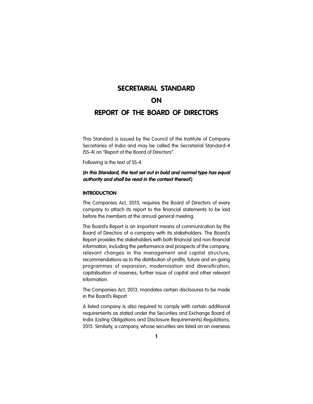## **SECRETARIAL STANDARD**

## **ON**

## **REPORT OF THE BOARD OF DIRECTORS**

This Standard is issued by the Council of the Institute of Company Secretaries of India and may be called the Secretarial Standard-4 (SS-4) on "Report of the Board of Directors".

Following is the text of SS-4.

## **(***In this Standard, the text set out in bold and normal type has equal authority and shall be read in the context thereof***.)**

#### **INTRODUCTION**

The Companies Act, 2013, requires the Board of Directors of every company to attach its report to the financial statements to be laid before the members at the annual general meeting.

The Board's Report is an important means of communication by the Board of Directors of a company with its stakeholders. The Board's Report provides the stakeholders with both financial and non-financial information, including the performance and prospects of the company, relevant changes in the management and capital structure, recommendations as to the distribution of profits, future and on-going programmes of expansion, modernisation and diversification, capitalisation of reserves, further issue of capital and other relevant information.

The Companies Act, 2013, mandates certain disclosures to be made in the Board's Report.

A listed company is also required to comply with certain additional requirements as stated under the Securities and Exchange Board of India (Listing Obligations and Disclosure Requirements) Regulations, 2015. Similarly, a company, whose securities are listed on an overseas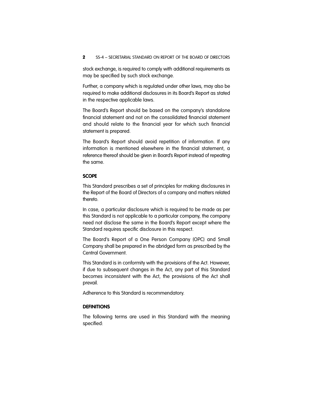stock exchange, is required to comply with additional requirements as may be specified by such stock exchange.

Further, a company which is regulated under other laws, may also be required to make additional disclosures in its Board's Report as stated in the respective applicable laws.

The Board's Report should be based on the company's standalone financial statement and not on the consolidated financial statement and should relate to the financial year for which such financial statement is prepared.

The Board's Report should avoid repetition of information. If any information is mentioned elsewhere in the financial statement, a reference thereof should be given in Board's Report instead of repeating the same.

#### **SCOPE**

This Standard prescribes a set of principles for making disclosures in the Report of the Board of Directors of a company and matters related thereto.

In case, a particular disclosure which is required to be made as per this Standard is not applicable to a particular company, the company need not disclose the same in the Board's Report except where the Standard requires specific disclosure in this respect.

The Board's Report of a One Person Company (OPC) and Small Company shall be prepared in the abridged form as prescribed by the Central Government.

This Standard is in conformity with the provisions of the Act. However, if due to subsequent changes in the Act, any part of this Standard becomes inconsistent with the Act, the provisions of the Act shall prevail.

Adherence to this Standard is recommendatory.

#### **DEFINITIONS**

The following terms are used in this Standard with the meaning specified: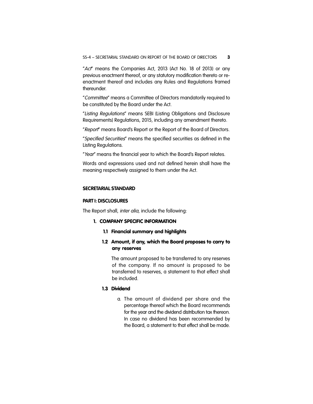"*Act*" means the Companies Act, 2013 (Act No. 18 of 2013) or any previous enactment thereof, or any statutory modification thereto or reenactment thereof and includes any Rules and Regulations framed thereunder.

"*Committee*" means a Committee of Directors mandatorily required to be constituted by the Board under the Act.

"*Listing Regulations*" means SEBI (Listing Obligations and Disclosure Requirements) Regulations, 2015, including any amendment thereto.

"*Report*" means Board's Report or the Report of the Board of Directors.

"*Specified Securities*" means the specified securities as defined in the Listing Regulations.

"*Year*" means the financial year to which the Board's Report relates.

Words and expressions used and not defined herein shall have the meaning respectively assigned to them under the Act.

#### **SECRETARIAL STANDARD**

#### **PART I: DISCLOSURES**

The Report shall, *inter alia*, include the following:

#### 1. COMPANY SPECIFIC INFORMATION

#### 1.1 Financial summary and highlights

## 1.2 Amount, if any, which the Board proposes to carry to any reserves

The amount proposed to be transferred to any reserves of the company. If no amount is proposed to be transferred to reserves, a statement to that effect shall be included.

#### 1.3 Dividend

a. The amount of dividend per share and the percentage thereof which the Board recommends for the year and the dividend distribution tax thereon. In case no dividend has been recommended by the Board, a statement to that effect shall be made.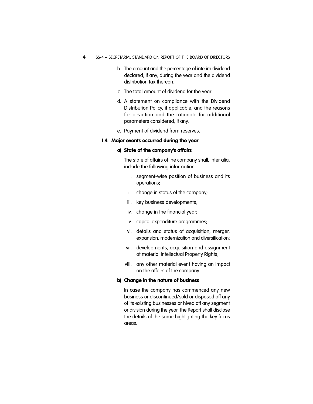- 4 SS-4 SECRETARIAL STANDARD ON REPORT OF THE BOARD OF DIRECTORS
	- b. The amount and the percentage of interim dividend declared, if any, during the year and the dividend distribution tax thereon.
	- c. The total amount of dividend for the year.
	- d. A statement on compliance with the Dividend Distribution Policy, if applicable, and the reasons for deviation and the rationale for additional parameters considered, if any.
	- e. Payment of dividend from reserves.

## 1.4 Major events occurred during the year

## a) State of the company's affairs

The state of affairs of the company shall, inter alia, include the following information –

- i. segment-wise position of business and its operations;
- ii. change in status of the company;
- iii. key business developments;
- iv. change in the financial year;
- v. capital expenditure programmes;
- vi. details and status of acquisition, merger, expansion, modernization and diversification;
- vii. developments, acquisition and assignment of material Intellectual Property Rights;
- viii. any other material event having an impact on the affairs of the company.

#### b) Change in the nature of business

In case the company has commenced any new business or discontinued/sold or disposed off any of its existing businesses or hived off any segment or division during the year, the Report shall disclose the details of the same highlighting the key focus areas.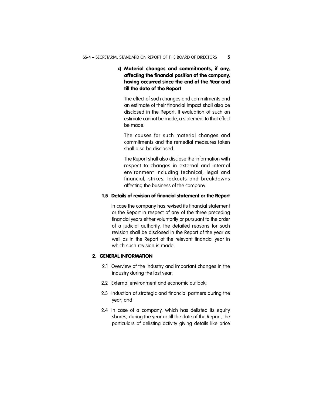## c) Material changes and commitments, if any, affecting the financial position of the company, having occurred since the end of the Year and till the date of the Report

The effect of such changes and commitments and an estimate of their financial impact shall also be disclosed in the Report. If evaluation of such an estimate cannot be made, a statement to that effect be made.

The causes for such material changes and commitments and the remedial measures taken shall also be disclosed.

The Report shall also disclose the information with respect to changes in external and internal environment including technical, legal and financial, strikes, lockouts and breakdowns affecting the business of the company.

#### 1.5 Details of revision of financial statement or the Report

In case the company has revised its financial statement or the Report in respect of any of the three preceding financial years either voluntarily or pursuant to the order of a judicial authority, the detailed reasons for such revision shall be disclosed in the Report of the year as well as in the Report of the relevant financial year in which such revision is made.

## 2. GENERAL INFORMATION

- 2.1 Overview of the industry and important changes in the industry during the last year;
- 2.2 External environment and economic outlook;
- 2.3 Induction of strategic and financial partners during the year; and
- 2.4 In case of a company, which has delisted its equity shares, during the year or till the date of the Report, the particulars of delisting activity giving details like price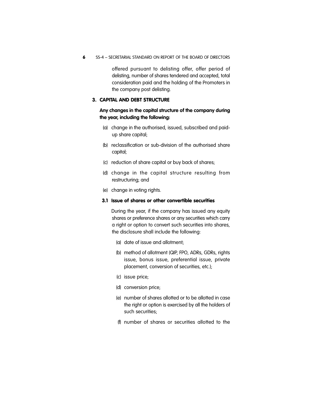6 SS-4 – SECRETARIAL STANDARD ON REPORT OF THE BOARD OF DIRECTORS

offered pursuant to delisting offer, offer period of delisting, number of shares tendered and accepted, total consideration paid and the holding of the Promoters in the company post delisting.

#### 3. CAPITAL AND DEBT STRUCTURE

## **Any changes in the capital structure of the company during the year, including the following:**

- (a) change in the authorised, issued, subscribed and paidup share capital;
- (b) reclassification or sub-division of the authorised share capital;
- (c) reduction of share capital or buy back of shares;
- (d) change in the capital structure resulting from restructuring; and
- (e) change in voting rights.

#### 3.1 Issue of shares or other convertible securities

During the year, if the company has issued any equity shares or preference shares or any securities which carry a right or option to convert such securities into shares, the disclosure shall include the following:

- (a) date of issue and allotment;
- (b) method of allotment (QIP, FPO, ADRs, GDRs, rights issue, bonus issue, preferential issue, private placement, conversion of securities, etc.);
- (c) issue price;
- (d) conversion price;
- (e) number of shares allotted or to be allotted in case the right or option is exercised by all the holders of such securities;
- (f) number of shares or securities allotted to the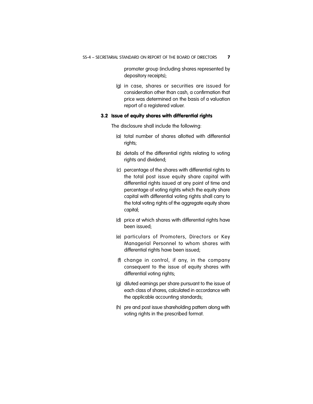promoter group (including shares represented by depository receipts);

(g) in case, shares or securities are issued for consideration other than cash, a confirmation that price was determined on the basis of a valuation report of a registered valuer.

#### 3.2 Issue of equity shares with differential rights

The disclosure shall include the following:

- (a) total number of shares allotted with differential rights;
- (b) details of the differential rights relating to voting rights and dividend;
- (c) percentage of the shares with differential rights to the total post issue equity share capital with differential rights issued at any point of time and percentage of voting rights which the equity share capital with differential voting rights shall carry to the total voting rights of the aggregate equity share capital;
- (d) price at which shares with differential rights have been issued;
- (e) particulars of Promoters, Directors or Key Managerial Personnel to whom shares with differential rights have been issued;
- (f) change in control, if any, in the company consequent to the issue of equity shares with differential voting rights;
- (g) diluted earnings per share pursuant to the issue of each class of shares, calculated in accordance with the applicable accounting standards;
- (h) pre and post issue shareholding pattern along with voting rights in the prescribed format.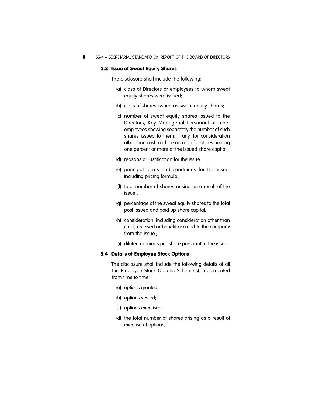8 SS-4 – SECRETARIAL STANDARD ON REPORT OF THE BOARD OF DIRECTORS

#### 3.3 Issue of Sweat Equity Shares

The disclosure shall include the following:

- (a) class of Directors or employees to whom sweat equity shares were issued;
- (b) class of shares issued as sweat equity shares;
- (c) number of sweat equity shares issued to the Directors, Key Managerial Personnel or other employees showing separately the number of such shares issued to them, if any, for consideration other than cash and the names of allottees holding one percent or more of the issued share capital;
- (d) reasons or justification for the issue;
- (e) principal terms and conditions for the issue, including pricing formula;
- (f) total number of shares arising as a result of the issue ;
- (g) percentage of the sweat equity shares to the total post issued and paid up share capital;
- (h) consideration, including consideration other than cash, received or benefit accrued to the company from the issue ;
- (i) diluted earnings per share pursuant to the issue.

#### 3.4 Details of Employee Stock Options

The disclosure shall include the following details of all the Employee Stock Options Scheme(s) implemented from time to time:

- (a) options granted;
- (b) options vested;
- (c) options exercised;
- (d) the total number of shares arising as a result of exercise of options;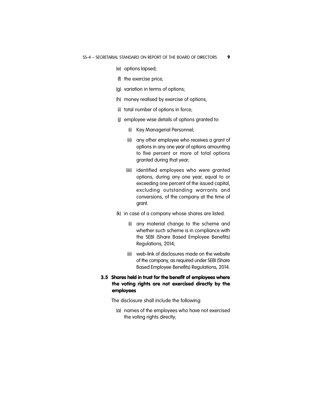- (e) options lapsed;
- (f) the exercise price;
- (g) variation in terms of options;
- (h) money realised by exercise of options;
- (i) total number of options in force;
- (j) employee wise details of options granted to:
	- (i) Key Managerial Personnel;
	- (ii) any other employee who receives a grant of options in any one year of options amounting to five percent or more of total options granted during that year;
	- (iii) identified employees who were granted options, during any one year, equal to or exceeding one percent of the issued capital, excluding outstanding warrants and conversions, of the company at the time of grant.
- (k) in case of a company whose shares are listed:
	- (i) any material change to the scheme and whether such scheme is in compliance with the SEBI (Share Based Employee Benefits) Regulations, 2014;
	- (ii) web-link of disclosures made on the website of the company, as required under SEBI (Share Based Employee Benefits) Regulations, 2014.
- 3.5 Shares held in trust for the benefit of employees where the voting rights are not exercised directly by the employees

The disclosure shall include the following:

(a) names of the employees who have not exercised the voting rights directly;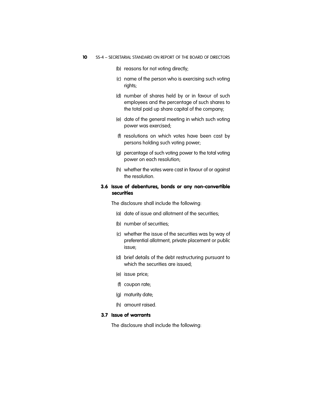- (b) reasons for not voting directly;
- (c) name of the person who is exercising such voting rights;
- (d) number of shares held by or in favour of such employees and the percentage of such shares to the total paid up share capital of the company;
- (e) date of the general meeting in which such voting power was exercised;
- (f) resolutions on which votes have been cast by persons holding such voting power;
- (g) percentage of such voting power to the total voting power on each resolution;
- (h) whether the votes were cast in favour of or against the resolution.

## 3.6 Issue of debentures, bonds or any non-convertible securities

The disclosure shall include the following:

- (a) date of issue and allotment of the securities;
- (b) number of securities;
- (c) whether the issue of the securities was by way of preferential allotment, private placement or public issue;
- (d) brief details of the debt restructuring pursuant to which the securities are issued;
- (e) issue price;
- (f) coupon rate;
- (g) maturity date;
- (h) amount raised.

## 3.7 Issue of warrants

The disclosure shall include the following: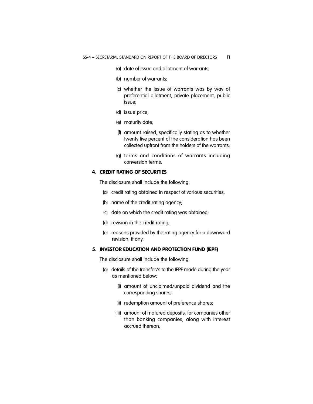- (a) date of issue and allotment of warrants;
- (b) number of warrants;
- (c) whether the issue of warrants was by way of preferential allotment, private placement, public issue;
- (d) issue price;
- (e) maturity date;
- (f) amount raised, specifically stating as to whether twenty five percent of the consideration has been collected upfront from the holders of the warrants;
- (g) terms and conditions of warrants including conversion terms.

### 4. CREDIT RATING OF SECURITIES

The disclosure shall include the following:

- (a) credit rating obtained in respect of various securities;
- (b) name of the credit rating agency;
- (c) date on which the credit rating was obtained;
- (d) revision in the credit rating;
- (e) reasons provided by the rating agency for a downward revision, if any.

#### 5. INVESTOR EDUCATION AND PROTECTION FUND (IEPF)

The disclosure shall include the following:

- (a) details of the transfer/s to the IEPF made during the year as mentioned below:
	- (i) amount of unclaimed/unpaid dividend and the corresponding shares;
	- (ii) redemption amount of preference shares;
	- (iii) amount of matured deposits, for companies other than banking companies, along with interest accrued thereon;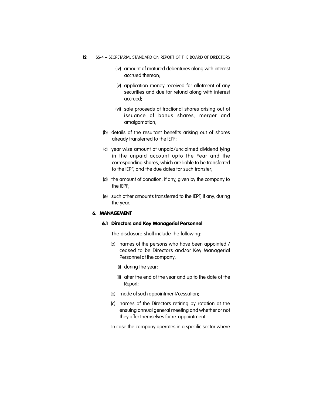- 12 SS-4 SECRETARIAL STANDARD ON REPORT OF THE BOARD OF DIRECTORS
	- (iv) amount of matured debentures along with interest accrued thereon;
	- (v) application money received for allotment of any securities and due for refund along with interest accrued;
	- (vi) sale proceeds of fractional shares arising out of issuance of bonus shares, merger and amalgamation;
	- (b) details of the resultant benefits arising out of shares already transferred to the IEPF;
	- (c) year wise amount of unpaid/unclaimed dividend lying in the unpaid account upto the Year and the corresponding shares, which are liable to be transferred to the IEPF, and the due dates for such transfer;
	- (d) the amount of donation, if any, given by the company to the IEPF;
	- (e) such other amounts transferred to the IEPF, if any, during the year.

#### 6. MANAGEMENT

#### 6.1 Directors and Key Managerial Personnel

The disclosure shall include the following:

- (a) names of the persons who have been appointed / ceased to be Directors and/or Key Managerial Personnel of the company:
	- (i) during the year;
	- (ii) after the end of the year and up to the date of the Report;
- (b) mode of such appointment/cessation;
- (c) names of the Directors retiring by rotation at the ensuing annual general meeting and whether or not they offer themselves for re-appointment.

In case the company operates in a specific sector where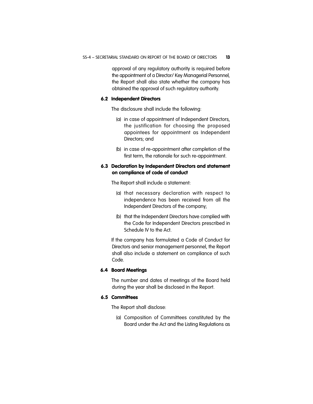approval of any regulatory authority is required before the appointment of a Director/ Key Managerial Personnel, the Report shall also state whether the company has obtained the approval of such regulatory authority.

#### 6.2 Independent Directors

The disclosure shall include the following:

- (a) in case of appointment of Independent Directors, the justification for choosing the proposed appointees for appointment as Independent Directors; and
- (b) in case of re-appointment after completion of the first term, the rationale for such re-appointment.

#### 6.3 Declaration by Independent Directors and statement on compliance of code of conduct

The Report shall include a statement:

- (a) that necessary declaration with respect to independence has been received from all the Independent Directors of the company;
- (b) that the Independent Directors have complied with the Code for Independent Directors prescribed in Schedule IV to the Act.

If the company has formulated a Code of Conduct for Directors and senior management personnel, the Report shall also include a statement on compliance of such Code.

#### 6.4 Board Meetings

The number and dates of meetings of the Board held during the year shall be disclosed in the Report.

## 6.5 Committees

The Report shall disclose:

(a) Composition of Committees constituted by the Board under the Act and the Listing Regulations as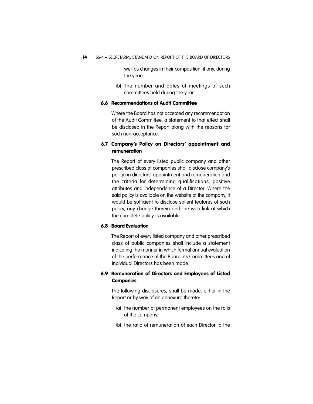well as changes in their composition, if any, during the year;

(b) The number and dates of meetings of such committees held during the year.

#### 6.6 Recommendations of Audit Committee

Where the Board has not accepted any recommendation of the Audit Committee, a statement to that effect shall be disclosed in the Report along with the reasons for such non-acceptance.

## 6.7 Company's Policy on Directors' appointment and remuneration

The Report of every listed public company and other prescribed class of companies shall disclose company's policy on directors' appointment and remuneration and the criteria for determining qualifications, positive attributes and independence of a Director. Where the said policy is available on the website of the company, it would be sufficient to disclose salient features of such policy, any change therein and the web-link at which the complete policy is available.

#### 6.8 Board Evaluation

The Report of every listed company and other prescribed class of public companies shall include a statement indicating the manner in which formal annual evaluation of the performance of the Board, its Committees and of individual Directors has been made.

## 6.9 Remuneration of Directors and Employees of Listed **Companies**

The following disclosures, shall be made, either in the Report or by way of an annexure thereto:

- (a) the number of permanent employees on the rolls of the company;
- (b) the ratio of remuneration of each Director to the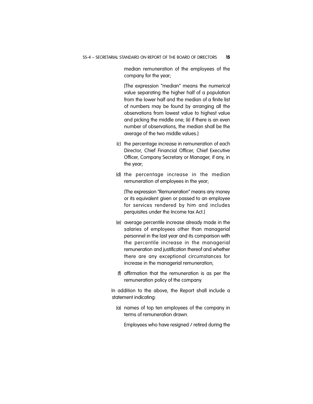median remuneration of the employees of the company for the year;

[The expression "median" means the numerical value separating the higher half of a population from the lower half and the median of a finite list of numbers may be found by arranging all the observations from lowest value to highest value and picking the middle one; (ii) if there is an even number of observations, the median shall be the average of the two middle values.]

- (c) the percentage increase in remuneration of each Director, Chief Financial Officer, Chief Executive Officer, Company Secretary or Manager, if any, in the year;
- (d) the percentage increase in the median remuneration of employees in the year;

[The expression "Remuneration" means any money or its equivalent given or passed to an employee for services rendered by him and includes perquisites under the Income tax Act.]

- (e) average percentile increase already made in the salaries of employees other than managerial personnel in the last year and its comparison with the percentile increase in the managerial remuneration and justification thereof and whether there are any exceptional circumstances for increase in the managerial remuneration;
- (f) affirmation that the remuneration is as per the remuneration policy of the company.

In addition to the above, the Report shall include a statement indicating:

(a) names of top ten employees of the company in terms of remuneration drawn.

Employees who have resigned / retired during the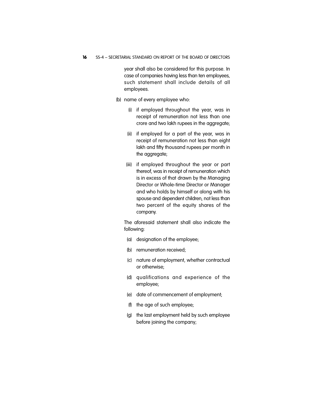16 SS-4 - SECRETARIAL STANDARD ON REPORT OF THE BOARD OF DIRECTORS

year shall also be considered for this purpose. In case of companies having less than ten employees, such statement shall include details of all employees.

- (b) name of every employee who:
	- (i) if employed throughout the year, was in receipt of remuneration not less than one crore and two lakh rupees in the aggregate;
	- (ii) if employed for a part of the year, was in receipt of remuneration not less than eight lakh and fifty thousand rupees per month in the aggregate;
	- (iii) if employed throughout the year or part thereof, was in receipt of remuneration which is in excess of that drawn by the Managing Director or Whole-time Director or Manager and who holds by himself or along with his spouse and dependent children, not less than two percent of the equity shares of the company.

The aforesaid statement shall also indicate the following:

- (a) designation of the employee;
- (b) remuneration received;
- (c) nature of employment, whether contractual or otherwise;
- (d) qualifications and experience of the employee;
- (e) date of commencement of employment;
- (f) the age of such employee;
- (g) the last employment held by such employee before joining the company;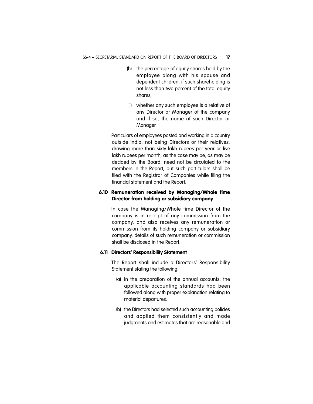- (h) the percentage of equity shares held by the employee along with his spouse and dependent children, if such shareholding is not less than two percent of the total equity shares;
- (i) whether any such employee is a relative of any Director or Manager of the company and if so, the name of such Director or Manager.

Particulars of employees posted and working in a country outside India, not being Directors or their relatives, drawing more than sixty lakh rupees per year or five lakh rupees per month, as the case may be, as may be decided by the Board, need not be circulated to the members in the Report, but such particulars shall be filed with the Registrar of Companies while filing the financial statement and the Report.

## 6.10 Remuneration received by Managing/Whole time Director from holding or subsidiary company

In case the Managing/Whole time Director of the company is in receipt of any commission from the company, and also receives any remuneration or commission from its holding company or subsidiary company, details of such remuneration or commission shall be disclosed in the Report.

## **6.11 Directors' Responsibility Statement**

The Report shall include a Directors' Responsibility Statement stating the following:

- (a) in the preparation of the annual accounts, the applicable accounting standards had been followed along with proper explanation relating to material departures;
- (b) the Directors had selected such accounting policies and applied them consistently and made judgments and estimates that are reasonable and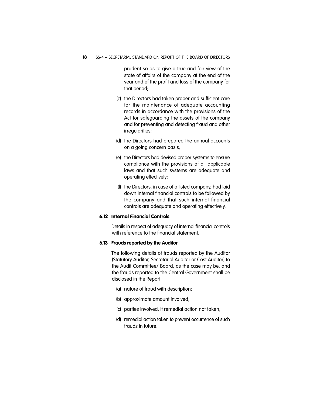18 SS-4 - SECRETARIAL STANDARD ON REPORT OF THE BOARD OF DIRECTORS

prudent so as to give a true and fair view of the state of affairs of the company at the end of the year and of the profit and loss of the company for that period;

- (c) the Directors had taken proper and sufficient care for the maintenance of adequate accounting records in accordance with the provisions of the Act for safeguarding the assets of the company and for preventing and detecting fraud and other irregularities;
- (d) the Directors had prepared the annual accounts on a going concern basis;
- (e) the Directors had devised proper systems to ensure compliance with the provisions of all applicable laws and that such systems are adequate and operating effectively;
- (f) the Directors, in case of a listed company, had laid down internal financial controls to be followed by the company and that such internal financial controls are adequate and operating effectively.

## 6.12 Internal Financial Controls

Details in respect of adequacy of internal financial controls with reference to the financial statement.

#### **6.13 Frauds reported by the Auditor**

The following details of frauds reported by the Auditor (Statutory Auditor, Secretarial Auditor or Cost Auditor) to the Audit Committee/ Board, as the case may be, and the frauds reported to the Central Government shall be disclosed in the Report:

- (a) nature of fraud with description;
- (b) approximate amount involved;
- (c) parties involved, if remedial action not taken;
- (d) remedial action taken to prevent occurrence of such frauds in future.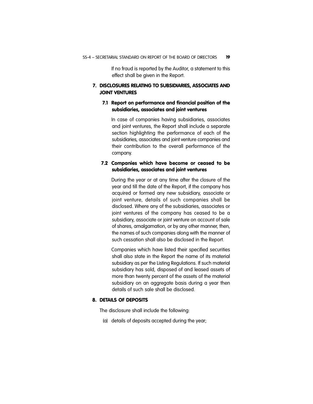If no fraud is reported by the Auditor, a statement to this effect shall be given in the Report.

## 7. DISCLOSURES RELATING TO SUBSIDIARIES, ASSOCIATES AND JOINT VENTURES

## 7.1 Report on performance and financial position of the subsidiaries, associates and joint ventures

In case of companies having subsidiaries, associates and joint ventures, the Report shall include a separate section highlighting the performance of each of the subsidiaries, associates and joint venture companies and their contribution to the overall performance of the company.

## 7.2 Companies which have become or ceased to be subsidiaries, associates and joint ventures

During the year or at any time after the closure of the year and till the date of the Report, if the company has acquired or formed any new subsidiary, associate or joint venture, details of such companies shall be disclosed. Where any of the subsidiaries, associates or joint ventures of the company has ceased to be a subsidiary, associate or joint venture on account of sale of shares, amalgamation, or by any other manner, then, the names of such companies along with the manner of such cessation shall also be disclosed in the Report.

Companies which have listed their specified securities shall also state in the Report the name of its material subsidiary as per the Listing Regulations. If such material subsidiary has sold, disposed of and leased assets of more than twenty percent of the assets of the material subsidiary on an aggregate basis during a year then details of such sale shall be disclosed.

## 8. DETAILS OF DEPOSITS

The disclosure shall include the following:

(a) details of deposits accepted during the year;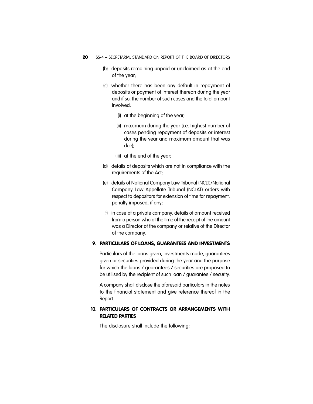- 20 SS-4 SECRETARIAL STANDARD ON REPORT OF THE BOARD OF DIRECTORS
	- (b) deposits remaining unpaid or unclaimed as at the end of the year;
	- (c) whether there has been any default in repayment of deposits or payment of interest thereon during the year and if so, the number of such cases and the total amount involved:
		- (i) at the beginning of the year;
		- (ii) maximum during the year (i.e. highest number of cases pending repayment of deposits or interest during the year and maximum amount that was due);
		- (iii) at the end of the year;
	- (d) details of deposits which are not in compliance with the requirements of the Act;
	- (e) details of National Company Law Tribunal (NCLT)/National Company Law Appellate Tribunal (NCLAT) orders with respect to depositors for extension of time for repayment, penalty imposed, if any;
	- (f) in case of a private company, details of amount received from a person who at the time of the receipt of the amount was a Director of the company or relative of the Director of the company.

## 9. PARTICULARS OF LOANS, GUARANTEES AND INVESTMENTS

Particulars of the loans given, investments made, guarantees given or securities provided during the year and the purpose for which the loans / guarantees / securities are proposed to be utilised by the recipient of such loan / guarantee / security.

A company shall disclose the aforesaid particulars in the notes to the financial statement and give reference thereof in the Report.

## **10. PARTICULARS OF CONTRACTS OR ARRANGEMENTS WITH RELATED PARTIES**

The disclosure shall include the following: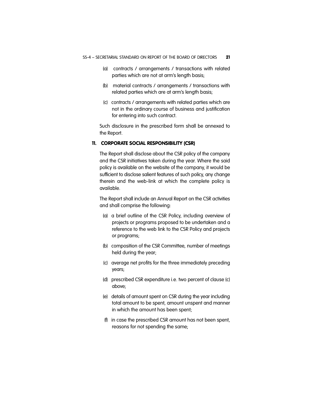- (a) contracts / arrangements / transactions with related parties which are not at arm's length basis;
- (b) material contracts / arrangements / transactions with related parties which are at arm's length basis;
- (c) contracts / arrangements with related parties which are not in the ordinary course of business and justification for entering into such contract.

Such disclosure in the prescribed form shall be annexed to the Report.

#### 11. CORPORATE SOCIAL RESPONSIBILITY (CSR)

The Report shall disclose about the CSR policy of the company and the CSR initiatives taken during the year. Where the said policy is available on the website of the company, it would be sufficient to disclose salient features of such policy, any change therein and the web-link at which the complete policy is available.

The Report shall include an Annual Report on the CSR activities and shall comprise the following:

- (a) a brief outline of the CSR Policy, including overview of projects or programs proposed to be undertaken and a reference to the web link to the CSR Policy and projects or programs;
- (b) composition of the CSR Committee, number of meetings held during the year;
- (c) average net profits for the three immediately preceding years;
- (d) prescribed CSR expenditure i.e. two percent of clause (c) above;
- (e) details of amount spent on CSR during the year including total amount to be spent, amount unspent and manner in which the amount has been spent;
- (f) in case the prescribed CSR amount has not been spent, reasons for not spending the same;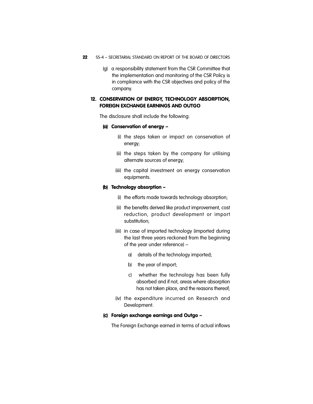- 22 SS-4 SECRETARIAL STANDARD ON REPORT OF THE BOARD OF DIRECTORS
	- (g) a responsibility statement from the CSR Committee that the implementation and monitoring of the CSR Policy is in compliance with the CSR objectives and policy of the company.

## 12. CONSERVATION OF ENERGY, TECHNOLOGY ABSORPTION, FOREIGN EXCHANGE EARNINGS AND OUTGO

The disclosure shall include the following:

#### (a) Conservation of energy –

- (i) the steps taken or impact on conservation of energy;
- (ii) the steps taken by the company for utilising alternate sources of energy;
- (iii) the capital investment on energy conservation equipments.

#### (b) Technology absorption –

- (i) the efforts made towards technology absorption;
- (ii) the benefits derived like product improvement, cost reduction, product development or import substitution;
- (iii) in case of imported technology (imported during the last three years reckoned from the beginning of the year under reference) –
	- a) details of the technology imported;
	- b) the year of import;
	- c) whether the technology has been fully absorbed and if not, areas where absorption has not taken place, and the reasons thereof;
- (iv) the expenditure incurred on Research and Development.

#### (c) Foreign exchange earnings and Outgo –

The Foreign Exchange earned in terms of actual inflows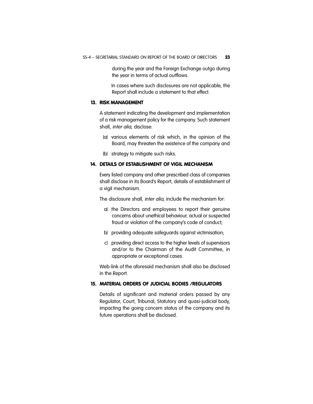during the year and the Foreign Exchange outgo during the year in terms of actual outflows.

In cases where such disclosures are not applicable, the Report shall include a statement to that effect.

#### 13. RISK MANAGEMENT

A statement indicating the development and implementation of a risk management policy for the company. Such statement shall, *inter alia*, disclose:

- (a) various elements of risk which, in the opinion of the Board, may threaten the existence of the company and
- (b) strategy to mitigate such risks.

#### 14. DETAILS OF ESTABLISHMENT OF VIGIL MECHANISM

Every listed company and other prescribed class of companies shall disclose in its Board's Report, details of establishment of a vigil mechanism.

The disclosure shall, *inter alia*, include the mechanism for:

- a) the Directors and employees to report their genuine concerns about unethical behaviour, actual or suspected fraud or violation of the company's code of conduct;
- b) providing adequate safeguards against victimisation;
- c) providing direct access to the higher levels of supervisors and/or to the Chairman of the Audit Committee, in appropriate or exceptional cases.

Web-link of the aforesaid mechanism shall also be disclosed in the Report.

#### 15. MATERIAL ORDERS OF JUDICIAL BODIES /REGULATORS

Details of significant and material orders passed by any Regulator, Court, Tribunal, Statutory and quasi-judicial body, impacting the going concern status of the company and its future operations shall be disclosed.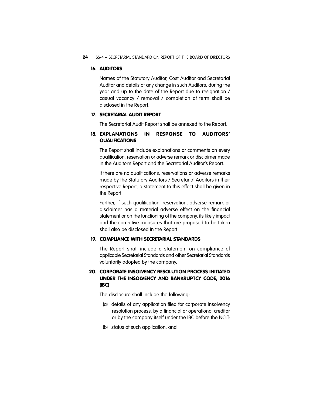#### 24 SS-4 - SECRETARIAL STANDARD ON REPORT OF THE BOARD OF DIRECTORS

#### 16. AUDITORS

Names of the Statutory Auditor, Cost Auditor and Secretarial Auditor and details of any change in such Auditors, during the year and up to the date of the Report due to resignation / casual vacancy / removal / completion of term shall be disclosed in the Report.

#### 17. SECRETARIAL AUDIT REPORT

The Secretarial Audit Report shall be annexed to the Report.

### 18. EXPLANATIONS IN RESPONSE TO AUDITORS' **QUALIFICATIONS**

The Report shall include explanations or comments on every qualification, reservation or adverse remark or disclaimer made in the Auditor's Report and the Secretarial Auditor's Report.

If there are no qualifications, reservations or adverse remarks made by the Statutory Auditors / Secretarial Auditors in their respective Report, a statement to this effect shall be given in the Report.

Further, if such qualification, reservation, adverse remark or disclaimer has a material adverse effect on the financial statement or on the functioning of the company, its likely impact and the corrective measures that are proposed to be taken shall also be disclosed in the Report.

## 19. COMPLIANCE WITH SECRETARIAL STANDARDS

The Report shall include a statement on compliance of applicable Secretarial Standards and other Secretarial Standards voluntarily adopted by the company.

## 20. CORPORATE INSOLVENCY RESOLUTION PROCESS INITIATED UNDER THE INSOLVENCY AND BANKRUPTCY CODE, 2016 (IBC)

The disclosure shall include the following:

- (a) details of any application filed for corporate insolvency resolution process, by a financial or operational creditor or by the company itself under the IBC before the NCLT;
- (b) status of such application; and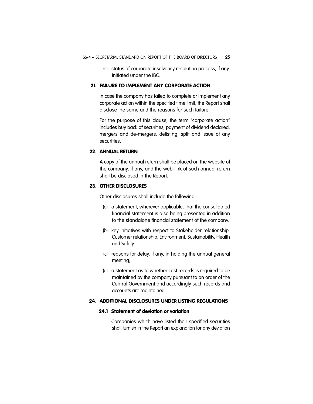(c) status of corporate insolvency resolution process, if any, initiated under the IBC.

## 21. FAILURE TO IMPLEMENT ANY CORPORATE ACTION

In case the company has failed to complete or implement any corporate action within the specified time limit, the Report shall disclose the same and the reasons for such failure.

For the purpose of this clause, the term "corporate action" includes buy back of securities, payment of dividend declared, mergers and de-mergers, delisting, split and issue of any securities.

## 22. ANNUAL RETURN

A copy of the annual return shall be placed on the website of the company, if any, and the web-link of such annual return shall be disclosed in the Report.

#### 23. OTHER DISCLOSURES

Other disclosures shall include the following:

- (a) a statement, wherever applicable, that the consolidated financial statement is also being presented in addition to the standalone financial statement of the company.
- (b) key initiatives with respect to Stakeholder relationship, Customer relationship, Environment, Sustainability, Health and Safety.
- (c) reasons for delay, if any, in holding the annual general meeting;
- (d) a statement as to whether cost records is required to be maintained by the company pursuant to an order of the Central Government and accordingly such records and accounts are maintained.

#### 24. ADDITIONAL DISCLOSURES UNDER LISTING REGULATIONS

#### 24.1 Statement of deviation or variation

Companies which have listed their specified securities shall furnish in the Report an explanation for any deviation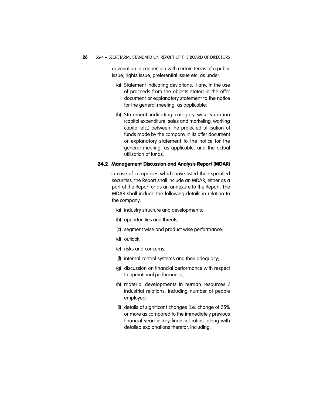or variation in connection with certain terms of a public issue, rights issue, preferential issue etc. as under:

- (a) Statement indicating deviations, if any, in the use of proceeds from the objects stated in the offer document or explanatory statement to the notice for the general meeting, as applicable;
- (b) Statement indicating category wise variation (capital expenditure, sales and marketing, working capital etc.) between the projected utilisation of funds made by the company in its offer document or explanatory statement to the notice for the general meeting, as applicable, and the actual utilisation of funds.

#### 24.2 Management Discussion and Analysis Report (MDAR)

In case of companies which have listed their specified securities, the Report shall include an MDAR, either as a part of the Report or as an annexure to the Report. The MDAR shall include the following details in relation to the company:

- (a) industry structure and developments;
- (b) opportunities and threats;
- (c) segment wise and product wise performance;
- (d) outlook;
- (e) risks and concerns;
- (f) internal control systems and their adequacy;
- (g) discussion on financial performance with respect to operational performance;
- (h) material developments in human resources / industrial relations, including number of people employed;
- (i) details of significant changes (i.e. change of 25% or more as compared to the immediately previous financial year) in key financial ratios, along with detailed explanations therefor, including: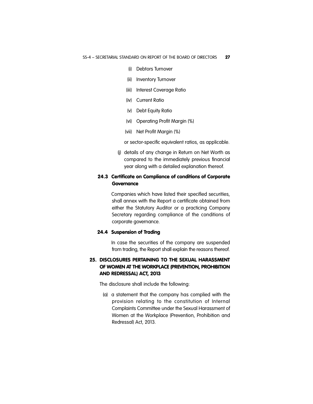- (i) Debtors Turnover
- (ii) Inventory Turnover
- (iii) Interest Coverage Ratio
- (iv) Current Ratio
- (v) Debt Equity Ratio
- (vi) Operating Profit Margin (%)
- (vii) Net Profit Margin (%)

or sector-specific equivalent ratios, as applicable.

(j) details of any change in Return on Net Worth as compared to the immediately previous financial year along with a detailed explanation thereof.

## 24.3 Certificate on Compliance of conditions of Corporate **Governance**

Companies which have listed their specified securities, shall annex with the Report a certificate obtained from either the Statutory Auditor or a practicing Company Secretary regarding compliance of the conditions of corporate governance.

#### 24.4 Suspension of Trading

In case the securities of the company are suspended from trading, the Report shall explain the reasons thereof.

## 25. DISCLOSURES PERTAINING TO THE SEXUAL HARASSMENT OF WOMEN AT THE WORKPLACE (PREVENTION, PROHIBITION AND REDRESSAL) ACT, 2013

The disclosure shall include the following:

(a) a statement that the company has complied with the provision relating to the constitution of Internal Complaints Committee under the Sexual Harassment of Women at the Workplace (Prevention, Prohibition and Redressal) Act, 2013.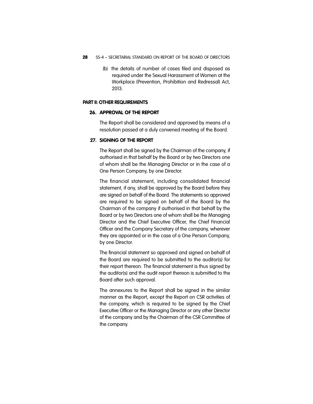- 28 SS-4 SECRETARIAL STANDARD ON REPORT OF THE BOARD OF DIRECTORS
	- (b) the details of number of cases filed and disposed as required under the Sexual Harassment of Women at the Workplace (Prevention, Prohibition and Redressal) Act, 2013.

#### **PART II: OTHER REQUIREMENTS**

### 26. APPROVAL OF THE REPORT

The Report shall be considered and approved by means of a resolution passed at a duly convened meeting of the Board.

#### **27. SIGNING OF THE REPORT**

The Report shall be signed by the Chairman of the company, if authorised in that behalf by the Board or by two Directors one of whom shall be the Managing Director or in the case of a One Person Company, by one Director.

The financial statement, including consolidated financial statement, if any, shall be approved by the Board before they are signed on behalf of the Board. The statements so approved are required to be signed on behalf of the Board by the Chairman of the company if authorised in that behalf by the Board or by two Directors one of whom shall be the Managing Director and the Chief Executive Officer, the Chief Financial Officer and the Company Secretary of the company, wherever they are appointed or in the case of a One Person Company, by one Director.

The financial statement so approved and signed on behalf of the Board are required to be submitted to the auditor(s) for their report thereon. The financial statement is thus signed by the auditor(s) and the audit report thereon is submitted to the Board after such approval.

The annexures to the Report shall be signed in the similar manner as the Report, except the Report on CSR activities of the company, which is required to be signed by the Chief Executive Officer or the Managing Director or any other Director of the company and by the Chairman of the CSR Committee of the company.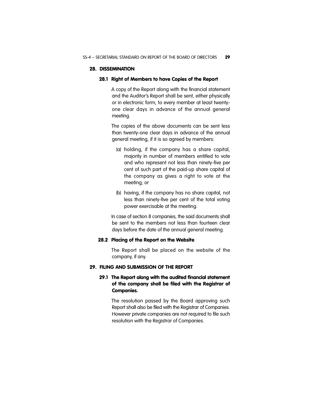#### 28. DISSEMINATION

#### 28.1 Right of Members to have Copies of the Report

A copy of the Report along with the financial statement and the Auditor's Report shall be sent, either physically or in electronic form, to every member at least twentyone clear days in advance of the annual general meeting.

The copies of the above documents can be sent less than twenty-one clear days in advance of the annual general meeting, if it is so agreed by members:

- (a) holding, if the company has a share capital, majority in number of members entitled to vote and who represent not less than ninety-five per cent of such part of the paid-up share capital of the company as gives a right to vote at the meeting; or
- (b) having, if the company has no share capital, not less than ninety-five per cent of the total voting power exercisable at the meeting.

In case of section 8 companies, the said documents shall be sent to the members not less than fourteen clear days before the date of the annual general meeting.

#### 28.2 Placing of the Report on the Website

The Report shall be placed on the website of the company, if any.

### 29. FILING AND SUBMISSION OF THE REPORT

## 29.1 The Report along with the audited financial statement of the company shall be filed with the Registrar of Companies.

The resolution passed by the Board approving such Report shall also be filed with the Registrar of Companies. However private companies are not required to file such resolution with the Registrar of Companies.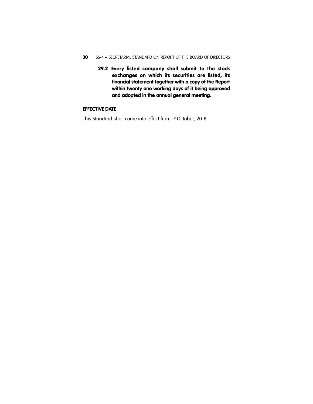- 30 SS-4 SECRETARIAL STANDARD ON REPORT OF THE BOARD OF DIRECTORS
	- 29.2 Every listed company shall submit to the stock exchanges on which its securities are listed, its financial statement together with a copy of the Report within twenty one working days of it being approved and adopted in the annual general meeting.

## **EFFECTIVE DATE**

This Standard shall come into effect from 1st October, 2018.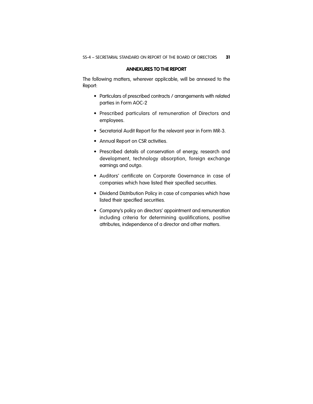#### **ANNEXURES TO THE REPORT**

The following matters, wherever applicable, will be annexed to the Report:

- Particulars of prescribed contracts / arrangements with related parties in Form AOC-2
- Prescribed particulars of remuneration of Directors and employees.
- Secretarial Audit Report for the relevant year in Form MR-3.
- Annual Report on CSR activities.
- Prescribed details of conservation of energy, research and development, technology absorption, foreign exchange earnings and outgo.
- Auditors' certificate on Corporate Governance in case of companies which have listed their specified securities.
- Dividend Distribution Policy in case of companies which have listed their specified securities.
- Company's policy on directors' appointment and remuneration including criteria for determining qualifications, positive attributes, independence of a director and other matters.